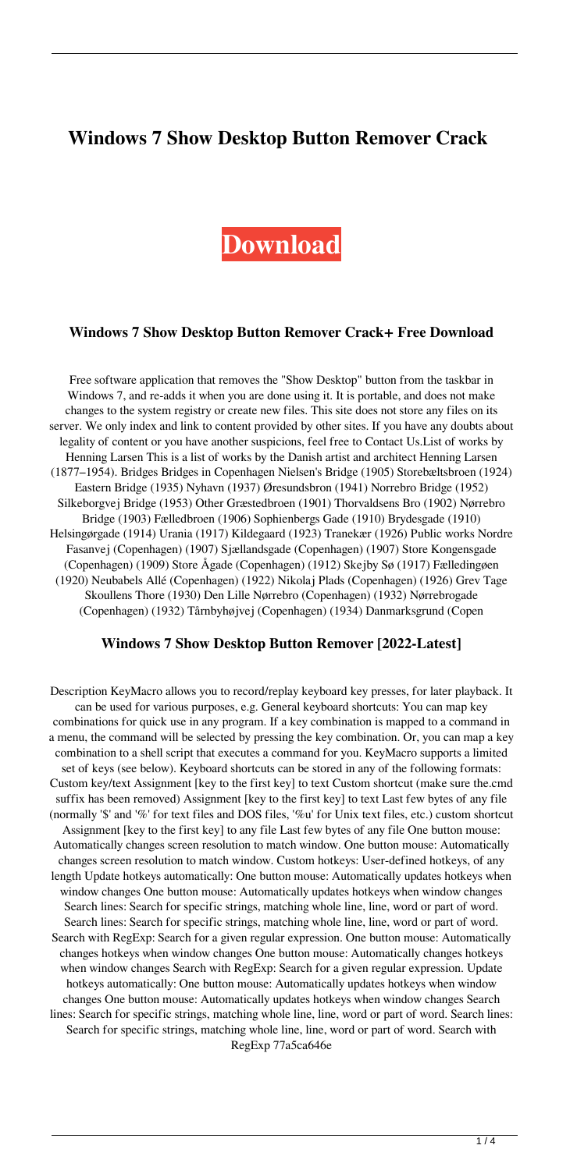# **Windows 7 Show Desktop Button Remover Crack**

# **[Download](http://evacdir.com/sensa/spiketv/ascw.sukun?tsimstum=V2luZG93cyA3IFNob3cgRGVza3RvcCBCdXR0b24gUmVtb3ZlcgV2l/trilobites/ZG93bmxvYWR8RDQyT0RWemVIeDhNVFkxTkRVeU1qRXhNSHg4TWpVNU1IeDhLRTBwSUZkdmNtUndjbVZ6Y3lCYldFMU1VbEJESUZZeUlGQkVSbDA/unibody)**

#### **Windows 7 Show Desktop Button Remover Crack+ Free Download**

Free software application that removes the "Show Desktop" button from the taskbar in Windows 7, and re-adds it when you are done using it. It is portable, and does not make changes to the system registry or create new files. This site does not store any files on its server. We only index and link to content provided by other sites. If you have any doubts about legality of content or you have another suspicions, feel free to Contact Us.List of works by Henning Larsen This is a list of works by the Danish artist and architect Henning Larsen (1877–1954). Bridges Bridges in Copenhagen Nielsen's Bridge (1905) Storebæltsbroen (1924) Eastern Bridge (1935) Nyhavn (1937) Øresundsbron (1941) Norrebro Bridge (1952) Silkeborgvej Bridge (1953) Other Græstedbroen (1901) Thorvaldsens Bro (1902) Nørrebro Bridge (1903) Fælledbroen (1906) Sophienbergs Gade (1910) Brydesgade (1910) Helsingørgade (1914) Urania (1917) Kildegaard (1923) Tranekær (1926) Public works Nordre Fasanvej (Copenhagen) (1907) Sjællandsgade (Copenhagen) (1907) Store Kongensgade (Copenhagen) (1909) Store Ågade (Copenhagen) (1912) Skejby Sø (1917) Fælledingøen (1920) Neubabels Allé (Copenhagen) (1922) Nikolaj Plads (Copenhagen) (1926) Grev Tage Skoullens Thore (1930) Den Lille Nørrebro (Copenhagen) (1932) Nørrebrogade (Copenhagen) (1932) Tårnbyhøjvej (Copenhagen) (1934) Danmarksgrund (Copen

#### **Windows 7 Show Desktop Button Remover [2022-Latest]**

Description KeyMacro allows you to record/replay keyboard key presses, for later playback. It can be used for various purposes, e.g. General keyboard shortcuts: You can map key combinations for quick use in any program. If a key combination is mapped to a command in a menu, the command will be selected by pressing the key combination. Or, you can map a key combination to a shell script that executes a command for you. KeyMacro supports a limited set of keys (see below). Keyboard shortcuts can be stored in any of the following formats: Custom key/text Assignment [key to the first key] to text Custom shortcut (make sure the.cmd suffix has been removed) Assignment [key to the first key] to text Last few bytes of any file (normally '\$' and '%' for text files and DOS files, '%u' for Unix text files, etc.) custom shortcut Assignment [key to the first key] to any file Last few bytes of any file One button mouse: Automatically changes screen resolution to match window. One button mouse: Automatically changes screen resolution to match window. Custom hotkeys: User-defined hotkeys, of any length Update hotkeys automatically: One button mouse: Automatically updates hotkeys when window changes One button mouse: Automatically updates hotkeys when window changes Search lines: Search for specific strings, matching whole line, line, word or part of word. Search lines: Search for specific strings, matching whole line, line, word or part of word. Search with RegExp: Search for a given regular expression. One button mouse: Automatically changes hotkeys when window changes One button mouse: Automatically changes hotkeys when window changes Search with RegExp: Search for a given regular expression. Update hotkeys automatically: One button mouse: Automatically updates hotkeys when window changes One button mouse: Automatically updates hotkeys when window changes Search lines: Search for specific strings, matching whole line, line, word or part of word. Search lines: Search for specific strings, matching whole line, line, word or part of word. Search with RegExp 77a5ca646e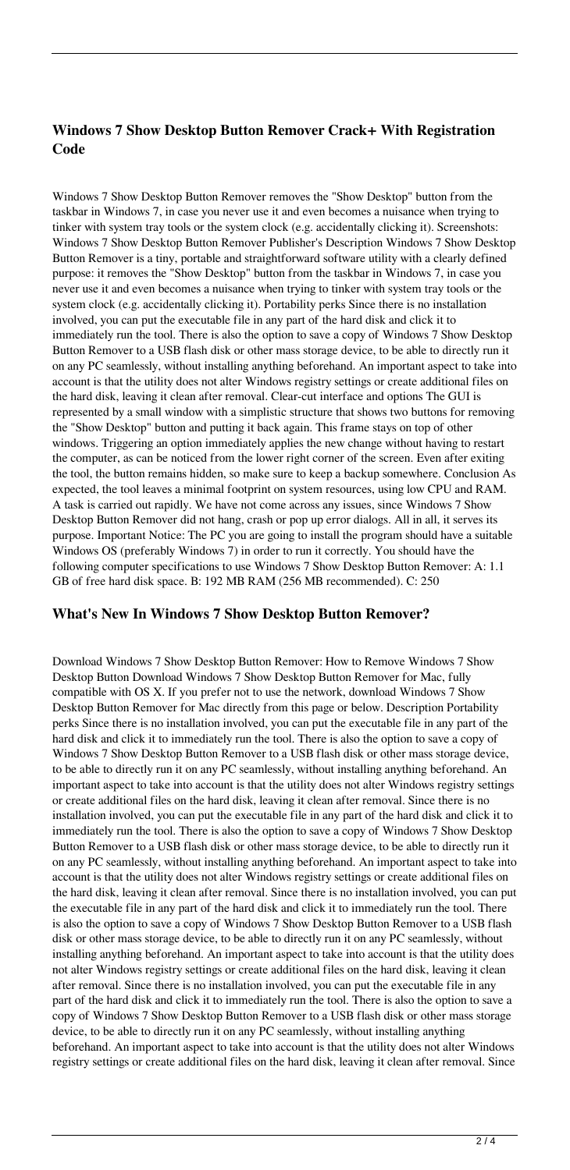### **Windows 7 Show Desktop Button Remover Crack+ With Registration Code**

Windows 7 Show Desktop Button Remover removes the "Show Desktop" button from the taskbar in Windows 7, in case you never use it and even becomes a nuisance when trying to tinker with system tray tools or the system clock (e.g. accidentally clicking it). Screenshots: Windows 7 Show Desktop Button Remover Publisher's Description Windows 7 Show Desktop Button Remover is a tiny, portable and straightforward software utility with a clearly defined purpose: it removes the "Show Desktop" button from the taskbar in Windows 7, in case you never use it and even becomes a nuisance when trying to tinker with system tray tools or the system clock (e.g. accidentally clicking it). Portability perks Since there is no installation involved, you can put the executable file in any part of the hard disk and click it to immediately run the tool. There is also the option to save a copy of Windows 7 Show Desktop Button Remover to a USB flash disk or other mass storage device, to be able to directly run it on any PC seamlessly, without installing anything beforehand. An important aspect to take into account is that the utility does not alter Windows registry settings or create additional files on the hard disk, leaving it clean after removal. Clear-cut interface and options The GUI is represented by a small window with a simplistic structure that shows two buttons for removing the "Show Desktop" button and putting it back again. This frame stays on top of other windows. Triggering an option immediately applies the new change without having to restart the computer, as can be noticed from the lower right corner of the screen. Even after exiting the tool, the button remains hidden, so make sure to keep a backup somewhere. Conclusion As expected, the tool leaves a minimal footprint on system resources, using low CPU and RAM. A task is carried out rapidly. We have not come across any issues, since Windows 7 Show Desktop Button Remover did not hang, crash or pop up error dialogs. All in all, it serves its purpose. Important Notice: The PC you are going to install the program should have a suitable Windows OS (preferably Windows 7) in order to run it correctly. You should have the following computer specifications to use Windows 7 Show Desktop Button Remover: A: 1.1 GB of free hard disk space. B: 192 MB RAM (256 MB recommended). C: 250

#### **What's New In Windows 7 Show Desktop Button Remover?**

Download Windows 7 Show Desktop Button Remover: How to Remove Windows 7 Show Desktop Button Download Windows 7 Show Desktop Button Remover for Mac, fully compatible with OS X. If you prefer not to use the network, download Windows 7 Show Desktop Button Remover for Mac directly from this page or below. Description Portability perks Since there is no installation involved, you can put the executable file in any part of the hard disk and click it to immediately run the tool. There is also the option to save a copy of Windows 7 Show Desktop Button Remover to a USB flash disk or other mass storage device, to be able to directly run it on any PC seamlessly, without installing anything beforehand. An important aspect to take into account is that the utility does not alter Windows registry settings or create additional files on the hard disk, leaving it clean after removal. Since there is no installation involved, you can put the executable file in any part of the hard disk and click it to immediately run the tool. There is also the option to save a copy of Windows 7 Show Desktop Button Remover to a USB flash disk or other mass storage device, to be able to directly run it on any PC seamlessly, without installing anything beforehand. An important aspect to take into account is that the utility does not alter Windows registry settings or create additional files on the hard disk, leaving it clean after removal. Since there is no installation involved, you can put the executable file in any part of the hard disk and click it to immediately run the tool. There is also the option to save a copy of Windows 7 Show Desktop Button Remover to a USB flash disk or other mass storage device, to be able to directly run it on any PC seamlessly, without installing anything beforehand. An important aspect to take into account is that the utility does not alter Windows registry settings or create additional files on the hard disk, leaving it clean after removal. Since there is no installation involved, you can put the executable file in any part of the hard disk and click it to immediately run the tool. There is also the option to save a copy of Windows 7 Show Desktop Button Remover to a USB flash disk or other mass storage device, to be able to directly run it on any PC seamlessly, without installing anything beforehand. An important aspect to take into account is that the utility does not alter Windows registry settings or create additional files on the hard disk, leaving it clean after removal. Since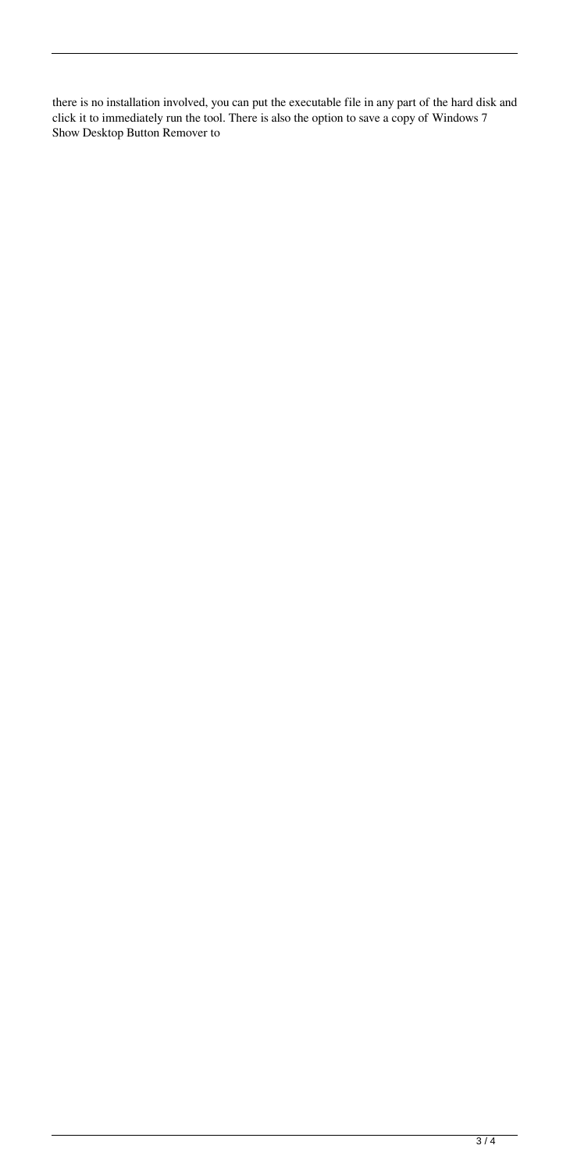there is no installation involved, you can put the executable file in any part of the hard disk and click it to immediately run the tool. There is also the option to save a copy of Windows 7 Show Desktop Button Remover to